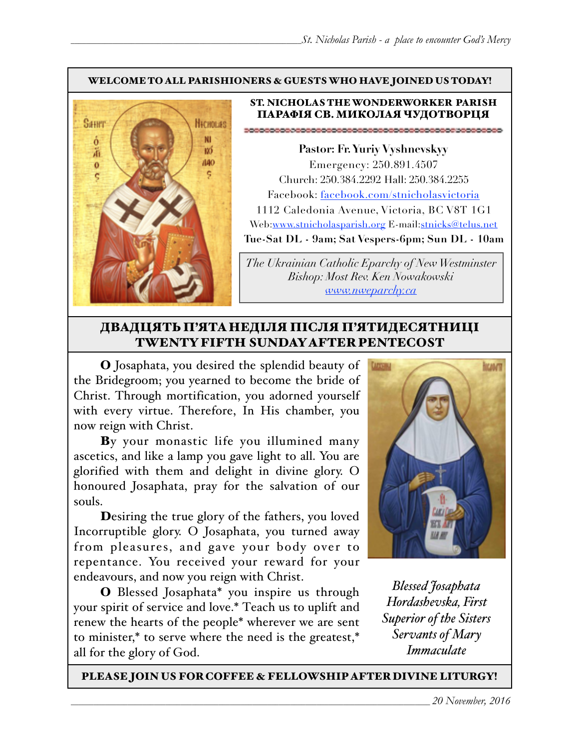### WELCOME TO ALL PARISHIONERS & GUESTS WHO HAVE JOINED US TODAY!



### ST. NICHOLAS THE WONDERWORKER PARISH ПАРАФІЯ СВ. МИКОЛАЯ ЧУДОТВОРЦЯ

**Pastor: Fr. Yuriy Vyshnevskyy** Emergency: 250.891.4507 Church: 250.384.2292 Hall: 250.384.2255 Facebook: facebook.com/stnicholasvictoria 1112 Caledonia Avenue, Victoria, BC V8T 1G1 Web[:www.stnicholasparish.org](http://www.stnicholasparish.org) E-mail:[stnicks@telus.net](mailto:stnicks@telus.net) **Tue-Sat DL - 9am; Sat Vespers-6pm; Sun DL - 10am**

*The Ukrainian Catholic Eparchy of New Westminster Bishop: Most Rev. Ken Nowakowski [www.nweparchy.ca](http://www.nweparchy.ca)*

## ДВАДЦЯТЬ П'ЯТАНЕДІЛЯ ПІСЛЯ П'ЯТИДЕСЯТНИЦІ TWENTY FIFTH SUNDAY AFTER PENTECOST

O Josaphata, you desired the splendid beauty of the Bridegroom; you yearned to become the bride of Christ. Through mortification, you adorned yourself with every virtue. Therefore, In His chamber, you now reign with Christ.

By your monastic life you illumined many ascetics, and like a lamp you gave light to all. You are glorified with them and delight in divine glory. O honoured Josaphata, pray for the salvation of our souls.

Desiring the true glory of the fathers, you loved Incorruptible glory. O Josaphata, you turned away from pleasures, and gave your body over to repentance. You received your reward for your endeavours, and now you reign with Christ.

O Blessed Josaphata\* you inspire us through your spirit of service and love.\* Тeach us to uplift and renew the hearts of the people\* wherever we are sent to minister,\* to serve where the need is the greatest,\* all for the glory of God.



*Blessed Josaphata Hordashevska, First Superior of the Sisters Servants of Mary Immaculate*

PLEASE JOIN US FOR COFFEE & FELLOWSHIP AFTER DIVINE LITURGY!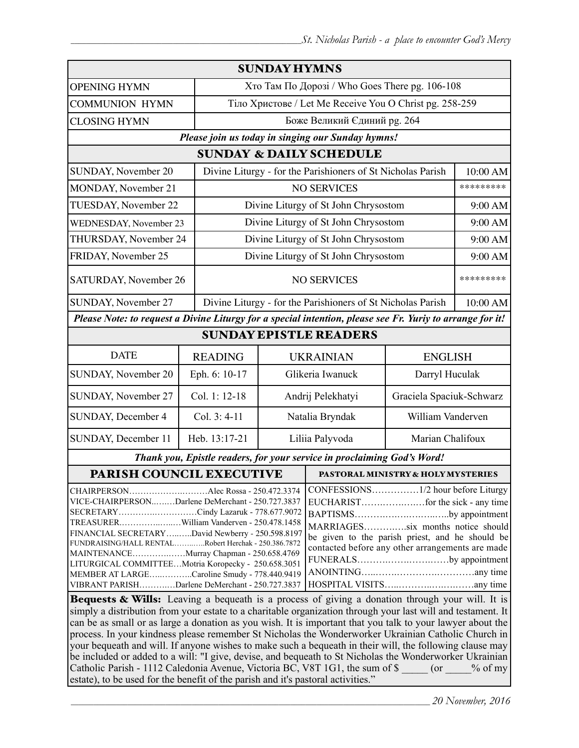| <b>SUNDAY HYMNS</b>                                                                                                                                                                                                                                                                                                                                                                                                                                                                               |                                                                                                                                                                                                                                    |                                                         |                                                             |                                    |           |  |  |
|---------------------------------------------------------------------------------------------------------------------------------------------------------------------------------------------------------------------------------------------------------------------------------------------------------------------------------------------------------------------------------------------------------------------------------------------------------------------------------------------------|------------------------------------------------------------------------------------------------------------------------------------------------------------------------------------------------------------------------------------|---------------------------------------------------------|-------------------------------------------------------------|------------------------------------|-----------|--|--|
| <b>OPENING HYMN</b>                                                                                                                                                                                                                                                                                                                                                                                                                                                                               |                                                                                                                                                                                                                                    | Хто Там По Дорозі / Who Goes There pg. 106-108          |                                                             |                                    |           |  |  |
| <b>COMMUNION HYMN</b>                                                                                                                                                                                                                                                                                                                                                                                                                                                                             |                                                                                                                                                                                                                                    | Тіло Христове / Let Me Receive You O Christ pg. 258-259 |                                                             |                                    |           |  |  |
| <b>CLOSING HYMN</b>                                                                                                                                                                                                                                                                                                                                                                                                                                                                               |                                                                                                                                                                                                                                    |                                                         |                                                             | Боже Великий Єдиний рg. 264        |           |  |  |
| Please join us today in singing our Sunday hymns!                                                                                                                                                                                                                                                                                                                                                                                                                                                 |                                                                                                                                                                                                                                    |                                                         |                                                             |                                    |           |  |  |
| <b>SUNDAY &amp; DAILY SCHEDULE</b>                                                                                                                                                                                                                                                                                                                                                                                                                                                                |                                                                                                                                                                                                                                    |                                                         |                                                             |                                    |           |  |  |
| SUNDAY, November 20                                                                                                                                                                                                                                                                                                                                                                                                                                                                               | Divine Liturgy - for the Parishioners of St Nicholas Parish                                                                                                                                                                        |                                                         |                                                             | 10:00 AM                           |           |  |  |
| MONDAY, November 21                                                                                                                                                                                                                                                                                                                                                                                                                                                                               |                                                                                                                                                                                                                                    |                                                         |                                                             | <b>NO SERVICES</b>                 |           |  |  |
| TUESDAY, November 22                                                                                                                                                                                                                                                                                                                                                                                                                                                                              |                                                                                                                                                                                                                                    | Divine Liturgy of St John Chrysostom                    |                                                             |                                    | 9:00 AM   |  |  |
| WEDNESDAY, November 23                                                                                                                                                                                                                                                                                                                                                                                                                                                                            |                                                                                                                                                                                                                                    | Divine Liturgy of St John Chrysostom                    |                                                             |                                    | 9:00 AM   |  |  |
| THURSDAY, November 24                                                                                                                                                                                                                                                                                                                                                                                                                                                                             |                                                                                                                                                                                                                                    | Divine Liturgy of St John Chrysostom                    |                                                             |                                    | 9:00 AM   |  |  |
| FRIDAY, November 25                                                                                                                                                                                                                                                                                                                                                                                                                                                                               |                                                                                                                                                                                                                                    | Divine Liturgy of St John Chrysostom                    |                                                             |                                    | 9:00 AM   |  |  |
| SATURDAY, November 26                                                                                                                                                                                                                                                                                                                                                                                                                                                                             |                                                                                                                                                                                                                                    | <b>NO SERVICES</b>                                      |                                                             |                                    | ********* |  |  |
| SUNDAY, November 27                                                                                                                                                                                                                                                                                                                                                                                                                                                                               |                                                                                                                                                                                                                                    |                                                         | Divine Liturgy - for the Parishioners of St Nicholas Parish |                                    | 10:00 AM  |  |  |
| Please Note: to request a Divine Liturgy for a special intention, please see Fr. Yuriy to arrange for it!                                                                                                                                                                                                                                                                                                                                                                                         |                                                                                                                                                                                                                                    |                                                         |                                                             |                                    |           |  |  |
| <b>SUNDAY EPISTLE READERS</b>                                                                                                                                                                                                                                                                                                                                                                                                                                                                     |                                                                                                                                                                                                                                    |                                                         |                                                             |                                    |           |  |  |
| <b>DATE</b>                                                                                                                                                                                                                                                                                                                                                                                                                                                                                       | <b>READING</b>                                                                                                                                                                                                                     |                                                         | <b>UKRAINIAN</b><br><b>ENGLISH</b>                          |                                    |           |  |  |
| SUNDAY, November 20                                                                                                                                                                                                                                                                                                                                                                                                                                                                               | Eph. 6: 10-17                                                                                                                                                                                                                      |                                                         | Glikeria Iwanuck<br>Darryl Huculak                          |                                    |           |  |  |
| SUNDAY, November 27                                                                                                                                                                                                                                                                                                                                                                                                                                                                               | Col. 1: 12-18                                                                                                                                                                                                                      |                                                         | Graciela Spaciuk-Schwarz<br>Andrij Pelekhatyi               |                                    |           |  |  |
| SUNDAY, December 4                                                                                                                                                                                                                                                                                                                                                                                                                                                                                | Col. 3: 4-11                                                                                                                                                                                                                       | Natalia Bryndak<br>William Vanderven                    |                                                             |                                    |           |  |  |
| SUNDAY, December 11                                                                                                                                                                                                                                                                                                                                                                                                                                                                               | Heb. 13:17-21                                                                                                                                                                                                                      | Liliia Palyvoda<br>Marian Chalifoux                     |                                                             |                                    |           |  |  |
| Thank you, Epistle readers, for your service in proclaiming God's Word!                                                                                                                                                                                                                                                                                                                                                                                                                           |                                                                                                                                                                                                                                    |                                                         |                                                             |                                    |           |  |  |
| PARISH COUNCIL EXECUTIVE                                                                                                                                                                                                                                                                                                                                                                                                                                                                          |                                                                                                                                                                                                                                    |                                                         |                                                             | PASTORAL MINISTRY & HOLY MYSTERIES |           |  |  |
| CHAIRPERSONAlec Rossa - 250.472.3374<br>VICE-CHAIRPERSONDarlene DeMerchant - 250.727.3837<br>SECRETARYCindy Lazaruk - 778.677.9072<br>TREASURERWilliam Vanderven - 250.478.1458<br>FINANCIAL SECRETARYDavid Newberry - 250.598.8197<br>FUNDRAISING/HALL RENTALRobert Herchak - 250.386.7872<br>MAINTENANCEMurray Chapman - 250.658.4769<br>LITURGICAL COMMITTEEMotria Koropecky - 250.658.3051<br>MEMBER AT LARGECaroline Smudy - 778.440.9419<br>VIBRANT PARISHDarlene DeMerchant - 250.727.3837 | CONFESSIONS1/2 hour before Liturgy<br>BAPTISMSby appointment<br>MARRIAGESsix months notice should<br>be given to the parish priest, and he should be<br>contacted before any other arrangements are made<br>FUNERALSby appointment |                                                         |                                                             |                                    |           |  |  |
| Bequests & Wills: Leaving a bequeath is a process of giving a donation through your will. It is                                                                                                                                                                                                                                                                                                                                                                                                   |                                                                                                                                                                                                                                    |                                                         |                                                             |                                    |           |  |  |

simply a distribution from your estate to a charitable organization through your last will and testament. It can be as small or as large a donation as you wish. It is important that you talk to your lawyer about the process. In your kindness please remember St Nicholas the Wonderworker Ukrainian Catholic Church in your bequeath and will. If anyone wishes to make such a bequeath in their will, the following clause may be included or added to a will: "I give, devise, and bequeath to St Nicholas the Wonderworker Ukrainian Catholic Parish - 1112 Caledonia Avenue, Victoria BC, V8T 1G1, the sum of \$  $\qquad \qquad$  (or  $\qquad \qquad$  % of my estate), to be used for the benefit of the parish and it's pastoral activities."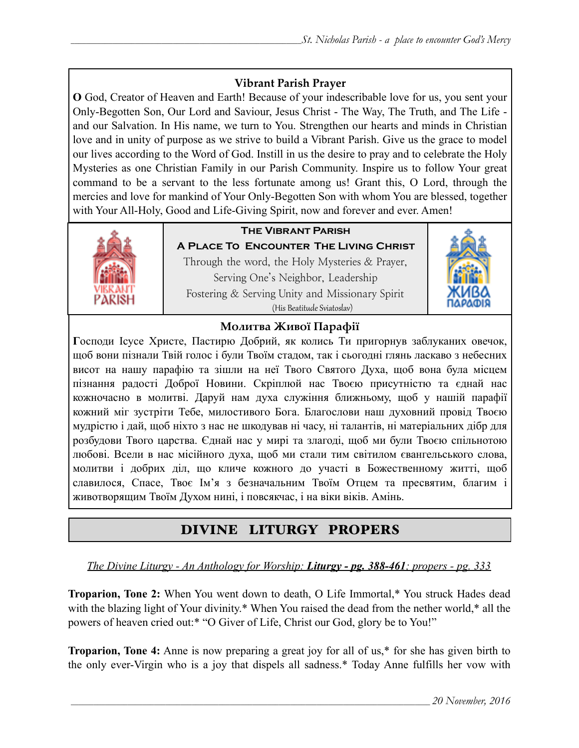# **Vibrant Parish Prayer**

**O** God, Creator of Heaven and Earth! Because of your indescribable love for us, you sent your Only-Begotten Son, Our Lord and Saviour, Jesus Christ - The Way, The Truth, and The Life and our Salvation. In His name, we turn to You. Strengthen our hearts and minds in Christian love and in unity of purpose as we strive to build a Vibrant Parish. Give us the grace to model our lives according to the Word of God. Instill in us the desire to pray and to celebrate the Holy Mysteries as one Christian Family in our Parish Community. Inspire us to follow Your great command to be a servant to the less fortunate among us! Grant this, O Lord, through the mercies and love for mankind of Your Only-Begotten Son with whom You are blessed, together with Your All-Holy, Good and Life-Giving Spirit, now and forever and ever. Amen!



# **The Vibrant Parish**

**A Place To Encounter The Living Christ** Through the word, the Holy Mysteries & Prayer, Serving One's Neighbor, Leadership Fostering & Serving Unity and Missionary Spirit (His Beatitude Sviatoslav)



# **Молитва Живої Парафії**

**Г**осподи Ісусе Христе, Пастирю Добрий, як колись Ти пригорнув заблуканих овечок, щоб вони пізнали Твій голос і були Твоїм стадом, так і сьогодні глянь ласкаво з небесних висот на нашу парафію та зішли на неї Твого Святого Духа, щоб вона була місцем пізнання радості Доброї Новини. Скріплюй нас Твоєю присутністю та єднай нас кожночасно в молитві. Даруй нам духа служіння ближньому, щоб у нашій парафії кожний міг зустріти Тебе, милостивого Бога. Благослови наш духовний провід Твоєю мудрістю і дай, щоб ніхто з нас не шкодував ні часу, ні талантів, ні матеріальних дібр для розбудови Твого царства. Єднай нас у мирі та злагоді, щоб ми були Твоєю спільнотою любові. Всели в нас місійного духа, щоб ми стали тим світилом євангельського слова, молитви і добрих діл, що кличе кожного до участі в Божественному житті, щоб славилося, Спасе, Твоє Ім'я з безначальним Твоїм Отцем та пресвятим, благим і животворящим Твоїм Духом нині, і повсякчас, і на віки віків. Амінь.

# DIVINE LITURGY PROPERS

# *The Divine Liturgy - An Anthology for Worship: Liturgy - pg. 388-461; propers - pg. 333*

**Troparion, Tone 2:** When You went down to death, O Life Immortal,\* You struck Hades dead with the blazing light of Your divinity.\* When You raised the dead from the nether world,\* all the powers of heaven cried out:\* "O Giver of Life, Christ our God, glory be to You!"

**Troparion, Tone 4:** Anne is now preparing a great joy for all of us,\* for she has given birth to the only ever-Virgin who is a joy that dispels all sadness.\* Today Anne fulfills her vow with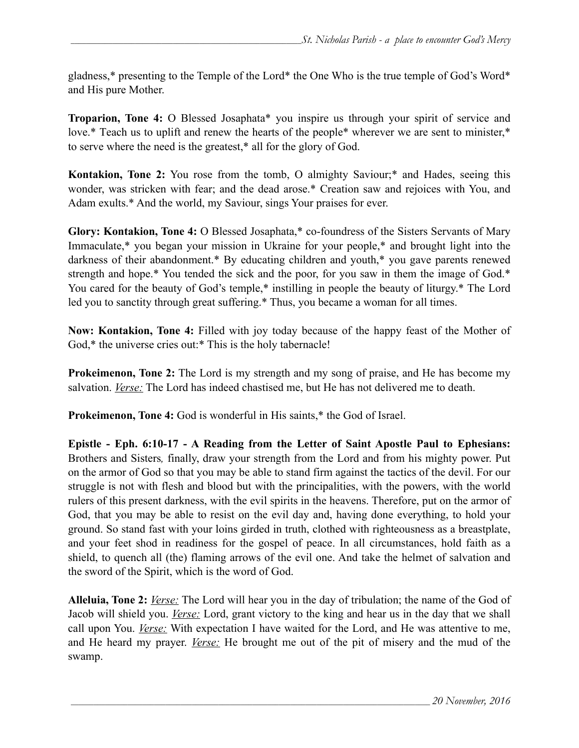gladness,\* presenting to the Temple of the Lord\* the One Who is the true temple of God's Word\* and His pure Mother.

**Troparion, Tone 4:** O Blessed Josaphata\* you inspire us through your spirit of service and love.\* Teach us to uplift and renew the hearts of the people\* wherever we are sent to minister,\* to serve where the need is the greatest,\* all for the glory of God.

**Kontakion, Tone 2:** You rose from the tomb, O almighty Saviour;\* and Hades, seeing this wonder, was stricken with fear; and the dead arose.\* Creation saw and rejoices with You, and Adam exults.\* And the world, my Saviour, sings Your praises for ever.

**Glory: Kontakion, Tone 4:** O Blessed Josaphata,\* co-foundress of the Sisters Servants of Mary Immaculate,\* you began your mission in Ukraine for your people,\* and brought light into the darkness of their abandonment.\* By educating children and youth,\* you gave parents renewed strength and hope.\* You tended the sick and the poor, for you saw in them the image of God.\* You cared for the beauty of God's temple,\* instilling in people the beauty of liturgy.\* The Lord led you to sanctity through great suffering.\* Thus, you became a woman for all times.

**Now: Kontakion, Tone 4:** Filled with joy today because of the happy feast of the Mother of God,<sup>\*</sup> the universe cries out:<sup>\*</sup> This is the holy tabernacle!

**Prokeimenon, Tone 2:** The Lord is my strength and my song of praise, and He has become my salvation. *Verse:* The Lord has indeed chastised me, but He has not delivered me to death.

**Prokeimenon, Tone 4:** God is wonderful in His saints,\* the God of Israel.

**Epistle - Eph. 6:10-17 - A Reading from the Letter of Saint Apostle Paul to Ephesians:** Brothers and Sisters*,* finally, draw your strength from the Lord and from his mighty power. Put on the armor of God so that you may be able to stand firm against the tactics of the devil. For our struggle is not with flesh and blood but with the principalities, with the powers, with the world rulers of this present darkness, with the evil spirits in the heavens. Therefore, put on the armor of God, that you may be able to resist on the evil day and, having done everything, to hold your ground. So stand fast with your loins girded in truth, clothed with righteousness as a breastplate, and your feet shod in readiness for the gospel of peace. In all circumstances, hold faith as a shield, to quench all (the) flaming arrows of the evil one. And take the helmet of salvation and the sword of the Spirit, which is the word of God.

**Alleluia, Tone 2:** *Verse:* The Lord will hear you in the day of tribulation; the name of the God of Jacob will shield you. *Verse:* Lord, grant victory to the king and hear us in the day that we shall call upon You. *Verse:* With expectation I have waited for the Lord, and He was attentive to me, and He heard my prayer. *Verse:* He brought me out of the pit of misery and the mud of the swamp.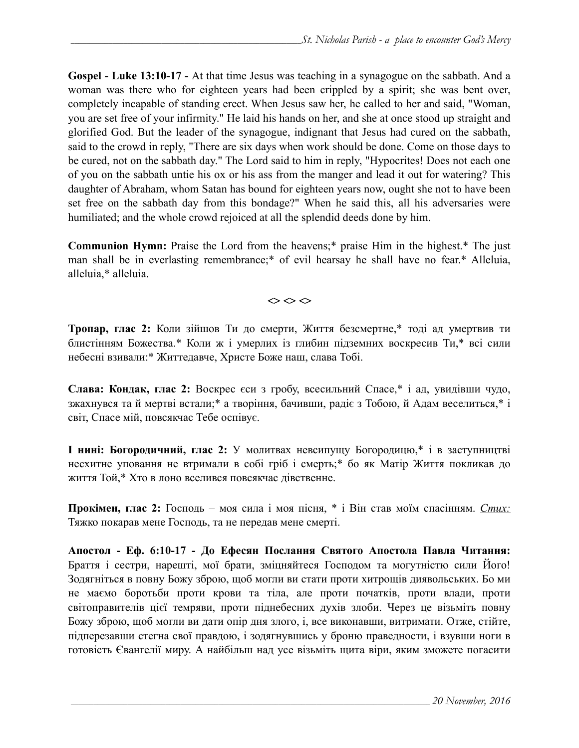**Gospel - Luke 13:10-17 -** At that time Jesus was teaching in a synagogue on the sabbath. And a woman was there who for eighteen years had been crippled by a spirit; she was bent over, completely incapable of standing erect. When Jesus saw her, he called to her and said, "Woman, you are set free of your infirmity." He laid his hands on her, and she at once stood up straight and glorified God. But the leader of the synagogue, indignant that Jesus had cured on the sabbath, said to the crowd in reply, "There are six days when work should be done. Come on those days to be cured, not on the sabbath day." The Lord said to him in reply, "Hypocrites! Does not each one of you on the sabbath untie his ox or his ass from the manger and lead it out for watering? This daughter of Abraham, whom Satan has bound for eighteen years now, ought she not to have been set free on the sabbath day from this bondage?" When he said this, all his adversaries were humiliated; and the whole crowd rejoiced at all the splendid deeds done by him.

**Communion Hymn:** Praise the Lord from the heavens;\* praise Him in the highest.\* The just man shall be in everlasting remembrance;\* of evil hearsay he shall have no fear.\* Alleluia, alleluia,\* alleluia.

 $\Leftrightarrow$   $\Leftrightarrow$   $\Leftrightarrow$ 

**Тропар, глас 2:** Коли зійшов Ти до смерти, Життя безсмертне,\* тоді ад умертвив ти блистінням Божества.\* Коли ж і умерлих із глибин підземних воскресив Ти,\* всі сили небесні взивали:\* Життедавче, Христе Боже наш, слава Тобі.

**Слава: Кондак, глас 2:** Воскрес єси з гробу, всесильний Спасе,\* і ад, увидівши чудо, зжахнувся та й мертві встали;\* а творіння, бачивши, радіє з Тобою, й Адам веселиться,\* і світ, Спасе мій, повсякчас Тебе оспівує.

**І нині: Богородичний, глас 2:** У молитвах невсипущу Богородицю,\* і в заступництві несхитне уповання не втримали в собі гріб і смерть;\* бо як Матір Життя покликав до життя Той,\* Хто в лоно вселився повсякчас дівственне.

**Прокімен, глас 2:** Господь – моя сила і моя пісня, \* і Він став моїм спасінням. *Стих:* Тяжко покарав мене Господь, та не передав мене смерті.

**Апостол - Еф. 6:10-17 - До Ефесян Послання Святого Апостола Павла Читання:**  Браття і сестри, нарешті, мої брати, зміцняйтеся Господом та могутністю сили Його! Зодягніться в повну Божу зброю, щоб могли ви стати проти хитрощів диявольських. Бо ми не маємо боротьби проти крови та тіла, але проти початків, проти влади, проти світоправителів цієї темряви, проти піднебесних духів злоби. Через це візьміть повну Божу зброю, щоб могли ви дати опір дня злого, і, все виконавши, витримати. Отже, стійте, підперезавши стегна свої правдою, і зодягнувшись у броню праведности, і взувши ноги в готовість Євангелії миру. А найбільш над усе візьміть щита віри, яким зможете погасити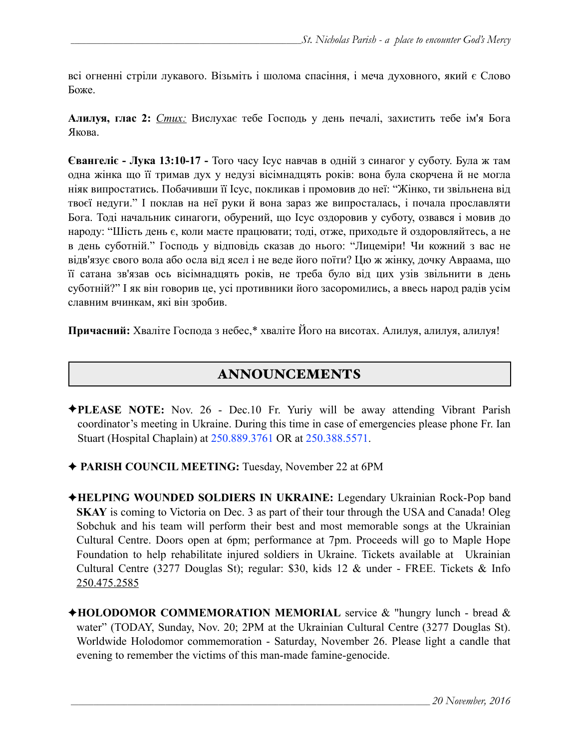всі огненні стріли лукавого. Візьміть і шолома спасіння, і меча духовного, який є Слово Боже.

**Алилуя, глас 2:** *Стих:* Вислухає тебе Господь у день печалі, захистить тебе ім'я Бога Якова.

**Євангеліє - Лука 13:10-17 -** Того часу Ісус навчав в одній з синагог у суботу. Була ж там одна жінка що її тримав дух у недузі вісімнадцять років: вона була скорчена й не могла ніяк випростатись. Побачивши її Ісус, покликав і промовив до неї: "Жінко, ти звільнена від твоєї недуги." І поклав на неї руки й вона зараз же випросталась, і почала прославляти Бога. Тоді начальник синагоги, обурений, що Ісус оздоровив у суботу, озвався і мовив до народу: "Шість день є, коли маєте працювати; тоді, отже, приходьте й оздоровляйтесь, а не в день суботній." Господь у відповідь сказав до нього: "Лицеміри! Чи кожний з вас не відв'язує свого вола або осла від ясел і не веде його поїти? Цю ж жінку, дочку Авраама, що її сатана зв'язав ось вісімнадцять років, не треба було від цих узів звільнити в день суботній?" І як він говорив це, усі противники його засоромились, а ввесь народ радів усім славним вчинкам, які він зробив.

**Причасний:** Хваліте Господа з небес,\* хваліте Його на висотах. Алилуя, алилуя, алилуя!

# ANNOUNCEMENTS

- ✦**PLEASE NOTE:** Nov. 26 Dec.10 Fr. Yuriy will be away attending Vibrant Parish coordinator's meeting in Ukraine. During this time in case of emergencies please phone Fr. Ian Stuart (Hospital Chaplain) at 250.889.3761 OR at 250.388.5571.
- ✦ **PARISH COUNCIL MEETING:** Tuesday, November 22 at 6PM
- ✦**HELPING WOUNDED SOLDIERS IN UKRAINE:** Legendary Ukrainian Rock-Pop band **SKAY** is coming to Victoria on Dec. 3 as part of their tour through the USA and Canada! Oleg Sobchuk and his team will perform their best and most memorable songs at the Ukrainian Cultural Centre. Doors open at 6pm; performance at 7pm. Proceeds will go to Maple Hope Foundation to help rehabilitate injured soldiers in Ukraine. Tickets available at Ukrainian Cultural Centre (3277 Douglas St); regular: \$30, kids 12 & under - FREE. Tickets & Info 250.475.2585
- ✦**HOLODOMOR COMMEMORATION MEMORIAL** service & "hungry lunch bread & water" (TODAY, Sunday, Nov. 20; 2PM at the Ukrainian Cultural Centre (3277 Douglas St). Worldwide Holodomor commemoration - Saturday, November 26. Please light a candle that evening to remember the victims of this man-made famine-genocide.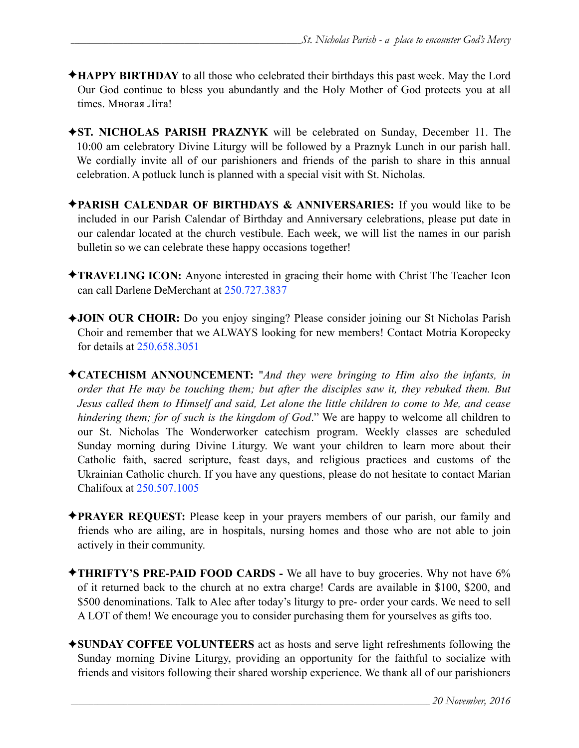- ✦**HAPPY BIRTHDAY** to all those who celebrated their birthdays this past week. May the Lord Our God continue to bless you abundantly and the Holy Mother of God protects you at all times. Многая Літа!
- ✦**ST. NICHOLAS PARISH PRAZNYK** will be celebrated on Sunday, December 11. The 10:00 am celebratory Divine Liturgy will be followed by a Praznyk Lunch in our parish hall. We cordially invite all of our parishioners and friends of the parish to share in this annual celebration. A potluck lunch is planned with a special visit with St. Nicholas.
- ✦**PARISH CALENDAR OF BIRTHDAYS & ANNIVERSARIES:** If you would like to be included in our Parish Calendar of Birthday and Anniversary celebrations, please put date in our calendar located at the church vestibule. Each week, we will list the names in our parish bulletin so we can celebrate these happy occasions together!
- ✦**TRAVELING ICON:** Anyone interested in gracing their home with Christ The Teacher Icon can call Darlene DeMerchant at 250.727.3837
- ✦**JOIN OUR CHOIR:** Do you enjoy singing? Please consider joining our St Nicholas Parish Choir and remember that we ALWAYS looking for new members! Contact Motria Koropecky for details at 250.658.3051
- ✦**CATECHISM ANNOUNCEMENT:** "*And they were bringing to Him also the infants, in order that He may be touching them; but after the disciples saw it, they rebuked them. But Jesus called them to Himself and said, Let alone the little children to come to Me, and cease hindering them; for of such is the kingdom of God*." We are happy to welcome all children to our St. Nicholas The Wonderworker catechism program. Weekly classes are scheduled Sunday morning during Divine Liturgy. We want your children to learn more about their Catholic faith, sacred scripture, feast days, and religious practices and customs of the Ukrainian Catholic church. If you have any questions, please do not hesitate to contact Marian Chalifoux at 250.507.1005
- ✦**PRAYER REQUEST:** Please keep in your prayers members of our parish, our family and friends who are ailing, are in hospitals, nursing homes and those who are not able to join actively in their community.
- ✦**THRIFTY'S PRE-PAID FOOD CARDS** We all have to buy groceries. Why not have 6% of it returned back to the church at no extra charge! Cards are available in \$100, \$200, and \$500 denominations. Talk to Alec after today's liturgy to pre- order your cards. We need to sell A LOT of them! We encourage you to consider purchasing them for yourselves as gifts too.
- ✦**SUNDAY COFFEE VOLUNTEERS** act as hosts and serve light refreshments following the Sunday morning Divine Liturgy, providing an opportunity for the faithful to socialize with friends and visitors following their shared worship experience. We thank all of our parishioners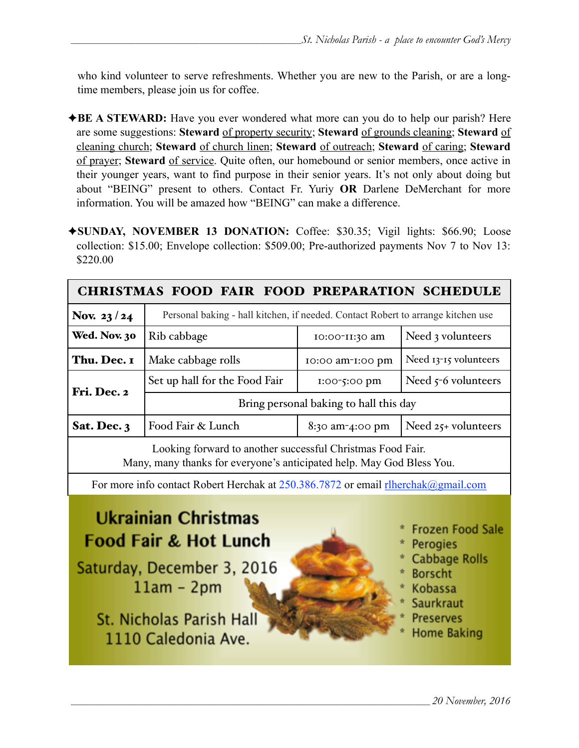who kind volunteer to serve refreshments. Whether you are new to the Parish, or are a longtime members, please join us for coffee.

- ✦**BE A STEWARD:** Have you ever wondered what more can you do to help our parish? Here are some suggestions: **Steward** of property security; **Steward** of grounds cleaning; **Steward** of cleaning church; **Steward** of church linen; **Steward** of outreach; **Steward** of caring; **Steward** of prayer; **Steward** of service. Quite often, our homebound or senior members, once active in their younger years, want to find purpose in their senior years. It's not only about doing but about "BEING" present to others. Contact Fr. Yuriy **OR** Darlene DeMerchant for more information. You will be amazed how "BEING" can make a difference.
- ✦**SUNDAY, NOVEMBER 13 DONATION:** Coffee: \$30.35; Vigil lights: \$66.90; Loose collection: \$15.00; Envelope collection: \$509.00; Pre-authorized payments Nov 7 to Nov 13: \$220.00

| <b>CHRISTMAS FOOD FAIR FOOD PREPARATION SCHEDULE</b>                                                                                |                                                                                  |                  |                       |  |  |  |
|-------------------------------------------------------------------------------------------------------------------------------------|----------------------------------------------------------------------------------|------------------|-----------------------|--|--|--|
| Nov. 23/24                                                                                                                          | Personal baking - hall kitchen, if needed. Contact Robert to arrange kitchen use |                  |                       |  |  |  |
| Wed. Nov. 30                                                                                                                        | Rib cabbage                                                                      | 10:00-11:30 am   | Need 3 volunteers     |  |  |  |
| Thu. Dec. I                                                                                                                         | Make cabbage rolls                                                               | 10:00 am-1:00 pm | Need 13-15 volunteers |  |  |  |
| Fri. Dec. 2                                                                                                                         | Set up hall for the Food Fair                                                    | 1:00-5:00 pm     | Need $5-6$ volunteers |  |  |  |
|                                                                                                                                     | Bring personal baking to hall this day                                           |                  |                       |  |  |  |
| Sat. Dec. 3                                                                                                                         | Food Fair & Lunch                                                                | 8:30 am-4:00 pm  | Need $25+$ volunteers |  |  |  |
| Looking forward to another successful Christmas Food Fair.<br>Many, many thanks for everyone's anticipated help. May God Bless You. |                                                                                  |                  |                       |  |  |  |

For more info contact Robert Herchak at 250.386.7872 or email [rlherchak@gmail.com](mailto:rlherchak@gmail.com)

# **Ukrainian Christmas Food Fair & Hot Lunch**

Saturday, December 3, 2016  $11am - 2pm$ 

St. Nicholas Parish Hall 1110 Caledonia Ave.



- **Frozen Food Sale**
- **Perogies**
- **Cabbage Rolls**
- **Borscht**
- **Kobassa**
- **Saurkraut**
- **Preserves**
- **Home Baking**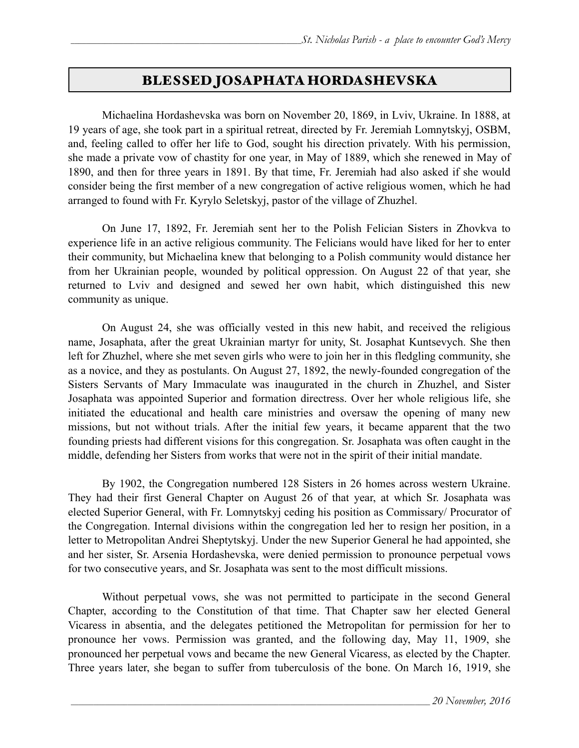# BLESSED JOSAPHATA HORDASHEVSKA

 Michaelina Hordashevska was born on November 20, 1869, in Lviv, Ukraine. In 1888, at 19 years of age, she took part in a spiritual retreat, directed by Fr. Jeremiah Lomnytskyj, OSBM, and, feeling called to offer her life to God, sought his direction privately. With his permission, she made a private vow of chastity for one year, in May of 1889, which she renewed in May of 1890, and then for three years in 1891. By that time, Fr. Jeremiah had also asked if she would consider being the first member of a new congregation of active religious women, which he had arranged to found with Fr. Kyrylo Seletskyj, pastor of the village of Zhuzhel.

On June 17, 1892, Fr. Jeremiah sent her to the Polish Felician Sisters in Zhovkva to experience life in an active religious community. The Felicians would have liked for her to enter their community, but Michaelina knew that belonging to a Polish community would distance her from her Ukrainian people, wounded by political oppression. On August 22 of that year, she returned to Lviv and designed and sewed her own habit, which distinguished this new community as unique.

 On August 24, she was officially vested in this new habit, and received the religious name, Josaphata, after the great Ukrainian martyr for unity, St. Josaphat Kuntsevych. She then left for Zhuzhel, where she met seven girls who were to join her in this fledgling community, she as a novice, and they as postulants. On August 27, 1892, the newly-founded congregation of the Sisters Servants of Mary Immaculate was inaugurated in the church in Zhuzhel, and Sister Josaphata was appointed Superior and formation directress. Over her whole religious life, she initiated the educational and health care ministries and oversaw the opening of many new missions, but not without trials. After the initial few years, it became apparent that the two founding priests had different visions for this congregation. Sr. Josaphata was often caught in the middle, defending her Sisters from works that were not in the spirit of their initial mandate.

By 1902, the Congregation numbered 128 Sisters in 26 homes across western Ukraine. They had their first General Chapter on August 26 of that year, at which Sr. Josaphata was elected Superior General, with Fr. Lomnytskyj ceding his position as Commissary/ Procurator of the Congregation. Internal divisions within the congregation led her to resign her position, in a letter to Metropolitan Andrei Sheptytskyj. Under the new Superior General he had appointed, she and her sister, Sr. Arsenia Hordashevska, were denied permission to pronounce perpetual vows for two consecutive years, and Sr. Josaphata was sent to the most difficult missions.

 Without perpetual vows, she was not permitted to participate in the second General Chapter, according to the Constitution of that time. That Chapter saw her elected General Vicaress in absentia, and the delegates petitioned the Metropolitan for permission for her to pronounce her vows. Permission was granted, and the following day, May 11, 1909, she pronounced her perpetual vows and became the new General Vicaress, as elected by the Chapter. Three years later, she began to suffer from tuberculosis of the bone. On March 16, 1919, she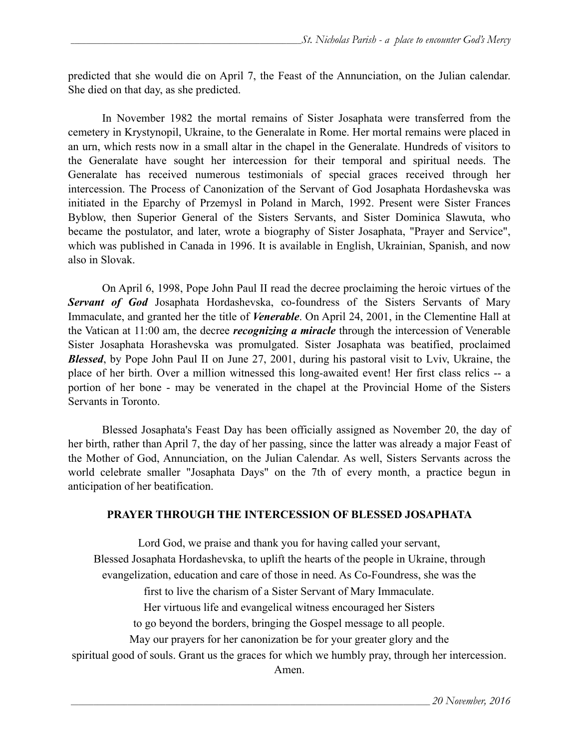predicted that she would die on April 7, the Feast of the Annunciation, on the Julian calendar. She died on that day, as she predicted.

 In November 1982 the mortal remains of Sister Josaphata were transferred from the cemetery in Krystynopil, Ukraine, to the Generalate in Rome. Her mortal remains were placed in an urn, which rests now in a small altar in the chapel in the Generalate. Hundreds of visitors to the Generalate have sought her intercession for their temporal and spiritual needs. The Generalate has received numerous testimonials of special graces received through her intercession. The Process of Canonization of the Servant of God Josaphata Hordashevska was initiated in the Eparchy of Przemysl in Poland in March, 1992. Present were Sister Frances Byblow, then Superior General of the Sisters Servants, and Sister Dominica Slawuta, who became the postulator, and later, wrote a biography of Sister Josaphata, ["Prayer and Service",](http://ssmi.org/Pubs.htm#PrServCap) which was published in Canada in 1996. It is available in English, Ukrainian, Spanish, and now also in Slovak.

 On April 6, 1998, Pope John Paul II read the decree proclaiming the heroic virtues of the *Servant of God* Josaphata Hordashevska, co-foundress of the Sisters Servants of Mary Immaculate, and granted her the title of *Venerable*. On April 24, 2001, in the Clementine Hall at the Vatican at 11:00 am, the decree *recognizing a miracle* through the intercession of Venerable Sister Josaphata Horashevska was promulgated. Sister Josaphata was beatified, proclaimed *Blessed*, by Pope John Paul II on June 27, 2001, during his pastoral visit to Lviv, Ukraine, the place of her birth. Over a million witnessed this long-awaited event! Her first class relics -- a portion of her bone - may be venerated in the chapel at the Provincial Home of the Sisters Servants in Toronto.

 Blessed Josaphata's Feast Day has been officially assigned as November 20, the day of her birth, rather than April 7, the day of her passing, since the latter was already a major Feast of the Mother of God, Annunciation, on the Julian Calendar. As well, Sisters Servants across the world celebrate smaller "Josaphata Days" on the 7th of every month, a practice begun in anticipation of her beatification.

#### **PRAYER THROUGH THE INTERCESSION OF BLESSED JOSAPHATA**

Lord God, we praise and thank you for having called your servant, Blessed Josaphata Hordashevska, to uplift the hearts of the people in Ukraine, through evangelization, education and care of those in need. As Co-Foundress, she was the first to live the charism of a Sister Servant of Mary Immaculate. Her virtuous life and evangelical witness encouraged her Sisters to go beyond the borders, bringing the Gospel message to all people. May our prayers for her canonization be for your greater glory and the spiritual good of souls. Grant us the graces for which we humbly pray, through her intercession. Amen.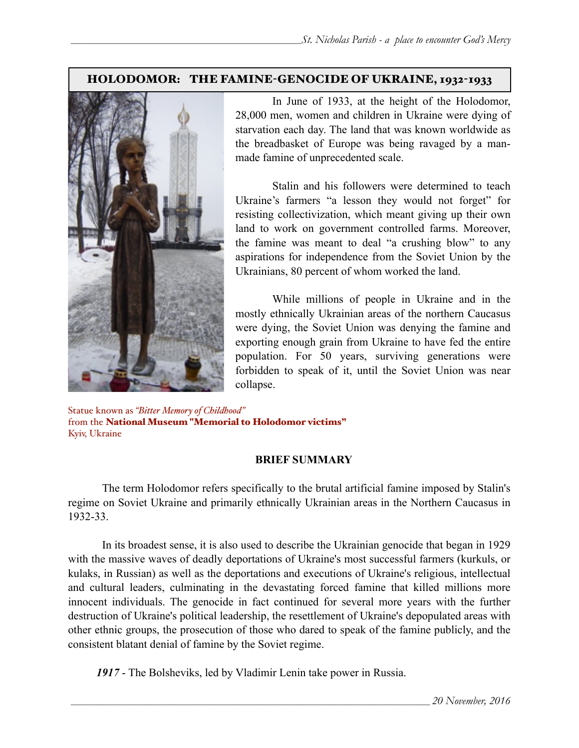## HOLODOMOR: THE FAMINE-GENOCIDE OF UKRAINE, 1932-1933



 In June of 1933, at the height of the Holodomor, 28,000 men, women and children in Ukraine were dying of starvation each day. The land that was known worldwide as the breadbasket of Europe was being ravaged by a manmade famine of unprecedented scale.

 Stalin and his followers were determined to teach Ukraine's farmers "a lesson they would not forget" for resisting collectivization, which meant giving up their own land to work on government controlled farms. Moreover, the famine was meant to deal "a crushing blow" to any aspirations for independence from the Soviet Union by the Ukrainians, 80 percent of whom worked the land.

 While millions of people in Ukraine and in the mostly ethnically Ukrainian areas of the northern Caucasus were dying, the Soviet Union was denying the famine and exporting enough grain from Ukraine to have fed the entire population. For 50 years, surviving generations were forbidden to speak of it, until the Soviet Union was near collapse.

Statue known as *"Bitter Memory of Childhood"* from the National Museum "Memorial to Holodomor victims" Kyiv, Ukraine

### **BRIEF SUMMARY**

 The term Holodomor refers specifically to the brutal artificial famine imposed by Stalin's regime on Soviet Ukraine and primarily ethnically Ukrainian areas in the Northern Caucasus in 1932-33.

 In its broadest sense, it is also used to describe the Ukrainian genocide that began in 1929 with the massive waves of deadly deportations of Ukraine's most successful farmers (kurkuls, or kulaks, in Russian) as well as the deportations and executions of Ukraine's religious, intellectual and cultural leaders, culminating in the devastating forced famine that killed millions more innocent individuals. The genocide in fact continued for several more years with the further destruction of Ukraine's political leadership, the resettlement of Ukraine's depopulated areas with other ethnic groups, the prosecution of those who dared to speak of the famine publicly, and the consistent blatant denial of famine by the Soviet regime.

*1917* - The Bolsheviks, led by Vladimir Lenin take power in Russia.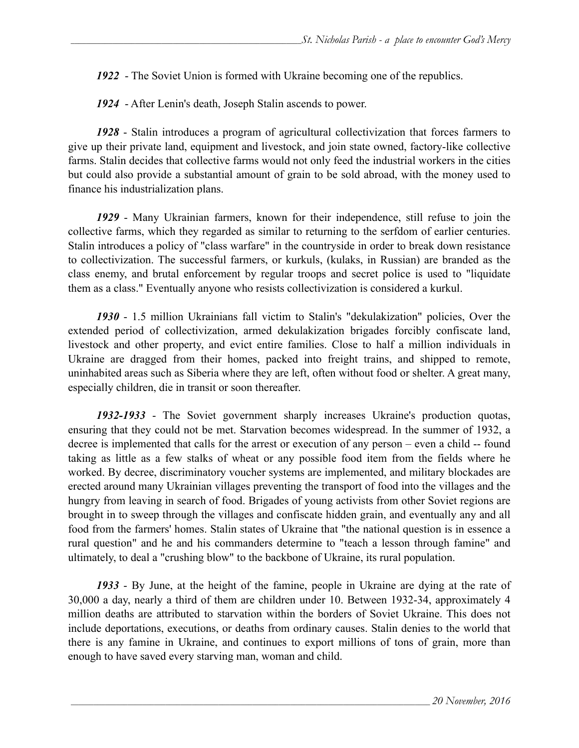*1922* - The Soviet Union is formed with Ukraine becoming one of the republics.

*1924* - After Lenin's death, Joseph Stalin ascends to power.

*1928* - Stalin introduces a program of agricultural collectivization that forces farmers to give up their private land, equipment and livestock, and join state owned, factory-like collective farms. Stalin decides that collective farms would not only feed the industrial workers in the cities but could also provide a substantial amount of grain to be sold abroad, with the money used to finance his industrialization plans.

*1929* - Many Ukrainian farmers, known for their independence, still refuse to join the collective farms, which they regarded as similar to returning to the serfdom of earlier centuries. Stalin introduces a policy of "class warfare" in the countryside in order to break down resistance to collectivization. The successful farmers, or kurkuls, (kulaks, in Russian) are branded as the class enemy, and brutal enforcement by regular troops and secret police is used to "liquidate them as a class." Eventually anyone who resists collectivization is considered a kurkul.

*1930* - 1.5 million Ukrainians fall victim to Stalin's "dekulakization" policies, Over the extended period of collectivization, armed dekulakization brigades forcibly confiscate land, livestock and other property, and evict entire families. Close to half a million individuals in Ukraine are dragged from their homes, packed into freight trains, and shipped to remote, uninhabited areas such as Siberia where they are left, often without food or shelter. A great many, especially children, die in transit or soon thereafter.

*1932-1933* - The Soviet government sharply increases Ukraine's production quotas, ensuring that they could not be met. Starvation becomes widespread. In the summer of 1932, a decree is implemented that calls for the arrest or execution of any person – even a child -- found taking as little as a few stalks of wheat or any possible food item from the fields where he worked. By decree, discriminatory voucher systems are implemented, and military blockades are erected around many Ukrainian villages preventing the transport of food into the villages and the hungry from leaving in search of food. Brigades of young activists from other Soviet regions are brought in to sweep through the villages and confiscate hidden grain, and eventually any and all food from the farmers' homes. Stalin states of Ukraine that "the national question is in essence a rural question" and he and his commanders determine to "teach a lesson through famine" and ultimately, to deal a "crushing blow" to the backbone of Ukraine, its rural population.

*1933* - By June, at the height of the famine, people in Ukraine are dying at the rate of 30,000 a day, nearly a third of them are children under 10. Between 1932-34, approximately 4 million deaths are attributed to starvation within the borders of Soviet Ukraine. This does not include deportations, executions, or deaths from ordinary causes. Stalin denies to the world that there is any famine in Ukraine, and continues to export millions of tons of grain, more than enough to have saved every starving man, woman and child.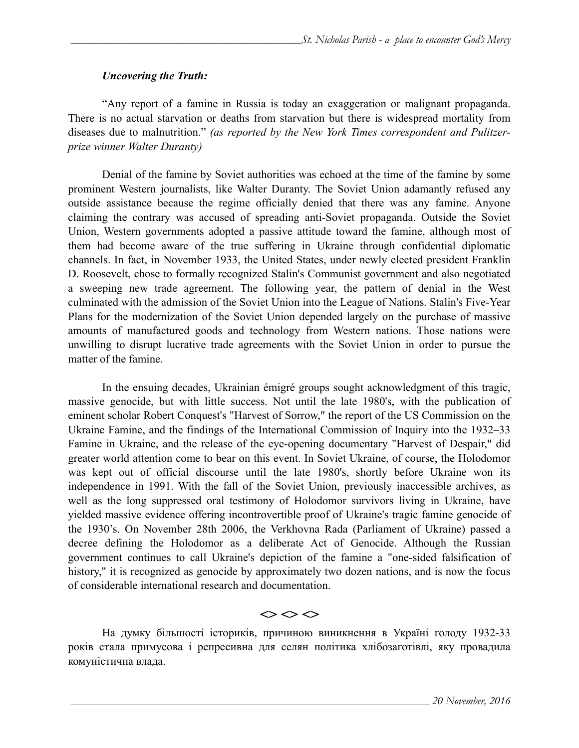#### *Uncovering the Truth:*

 "Any report of a famine in Russia is today an exaggeration or malignant propaganda. There is no actual starvation or deaths from starvation but there is widespread mortality from diseases due to malnutrition." *(as reported by the New York Times correspondent and Pulitzerprize winner Walter Duranty)*

 Denial of the famine by Soviet authorities was echoed at the time of the famine by some prominent Western journalists, like Walter Duranty. The Soviet Union adamantly refused any outside assistance because the regime officially denied that there was any famine. Anyone claiming the contrary was accused of spreading anti-Soviet propaganda. Outside the Soviet Union, Western governments adopted a passive attitude toward the famine, although most of them had become aware of the true suffering in Ukraine through confidential diplomatic channels. In fact, in November 1933, the United States, under newly elected president Franklin D. Roosevelt, chose to formally recognized Stalin's Communist government and also negotiated a sweeping new trade agreement. The following year, the pattern of denial in the West culminated with the admission of the Soviet Union into the League of Nations. Stalin's Five-Year Plans for the modernization of the Soviet Union depended largely on the purchase of massive amounts of manufactured goods and technology from Western nations. Those nations were unwilling to disrupt lucrative trade agreements with the Soviet Union in order to pursue the matter of the famine.

 In the ensuing decades, Ukrainian émigré groups sought acknowledgment of this tragic, massive genocide, but with little success. Not until the late 1980's, with the publication of eminent scholar Robert Conquest's "Harvest of Sorrow," the report of the US Commission on the Ukraine Famine, and the findings of the International Commission of Inquiry into the 1932–33 Famine in Ukraine, and the release of the eye-opening documentary "Harvest of Despair," did greater world attention come to bear on this event. In Soviet Ukraine, of course, the Holodomor was kept out of official discourse until the late 1980's, shortly before Ukraine won its independence in 1991. With the fall of the Soviet Union, previously inaccessible archives, as well as the long suppressed oral testimony of Holodomor survivors living in Ukraine, have yielded massive evidence offering incontrovertible proof of Ukraine's tragic famine genocide of the 1930's. On November 28th 2006, the Verkhovna Rada (Parliament of Ukraine) passed a decree defining the Holodomor as a deliberate Act of Genocide. Although the Russian government continues to call Ukraine's depiction of the famine a "one-sided falsification of history," it is recognized as genocide by approximately two dozen nations, and is now the focus of considerable international research and documentation.

 $\Leftrightarrow$   $\Leftrightarrow$   $\Leftrightarrow$ 

На думку більшості істориків, причиною виникнення в Україні голоду 1932-33 років стала примусова і репресивна для селян політика хлібозаготівлі, яку провадила комуністична влада.